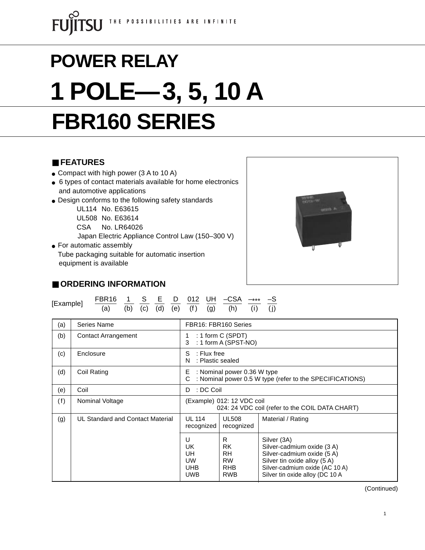# **FBR160 SERIES POWER RELAY 1 POLE—3, 5, 10 A**

# ■ **FEATURES**

- Compact with high power (3 A to 10 A)
- 6 types of contact materials available for home electronics and automotive applications
- Design conforms to the following safety standards

UL114 No. E63615

UL508 No. E63614

CSA No. LR64026

Japan Electric Appliance Control Law (150–300 V)

• For automatic assembly Tube packaging suitable for automatic insertion equipment is available



# ■ **ORDERING INFORMATION**

| [Example] | FBR16 1 S E D 012 UH -CSA -*** -S       |  |  |  |  |  |
|-----------|-----------------------------------------|--|--|--|--|--|
|           | (a) (b) (c) (d) (e) (f) (g) (h) (i) (j) |  |  |  |  |  |

| (a) | Series Name                      | FBR16: FBR160 Series                                                                              |                                                                |                                                                                                                                                                              |  |  |  |
|-----|----------------------------------|---------------------------------------------------------------------------------------------------|----------------------------------------------------------------|------------------------------------------------------------------------------------------------------------------------------------------------------------------------------|--|--|--|
| (b) | <b>Contact Arrangement</b>       | : 1 form $C$ (SPDT)<br>: 1 form A (SPST-NO)<br>3                                                  |                                                                |                                                                                                                                                                              |  |  |  |
| (c) | Enclosure                        | S<br>$:$ Flux free<br>N<br>: Plastic sealed                                                       |                                                                |                                                                                                                                                                              |  |  |  |
| (d) | Coil Rating                      | : Nominal power 0.36 W type<br>E<br>: Nominal power 0.5 W type (refer to the SPECIFICATIONS)<br>C |                                                                |                                                                                                                                                                              |  |  |  |
| (e) | Coil                             | : DC Coil<br>D                                                                                    |                                                                |                                                                                                                                                                              |  |  |  |
| (f) | Nominal Voltage                  | (Example) 012: 12 VDC coil<br>024: 24 VDC coil (refer to the COIL DATA CHART)                     |                                                                |                                                                                                                                                                              |  |  |  |
| (g) | UL Standard and Contact Material | <b>UL 114</b><br><b>UL508</b><br>recognized<br>recognized                                         |                                                                | Material / Rating                                                                                                                                                            |  |  |  |
|     |                                  | U<br>UK<br>UH.<br><b>UW</b><br><b>UHB</b><br><b>UWB</b>                                           | R<br>RK.<br><b>RH</b><br><b>RW</b><br><b>RHB</b><br><b>RWB</b> | Silver (3A)<br>Silver-cadmium oxide (3 A)<br>Silver-cadmium oxide (5 A)<br>Silver tin oxide alloy (5 A)<br>Silver-cadmium oxide (AC 10 A)<br>Silver tin oxide alloy (DC 10 A |  |  |  |

(Continued)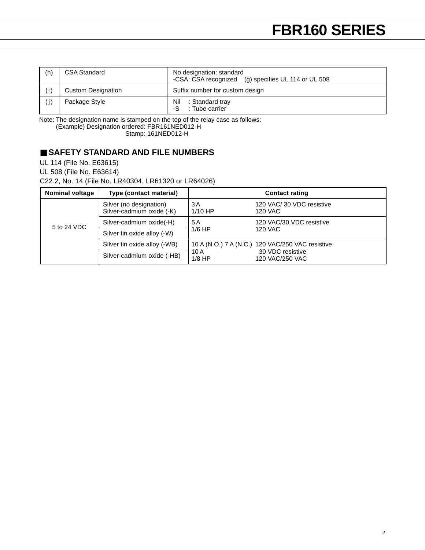| (h) | <b>CSA Standard</b>       | No designation: standard<br>-CSA: CSA recognized (g) specifies UL 114 or UL 508 |
|-----|---------------------------|---------------------------------------------------------------------------------|
| (i) | <b>Custom Designation</b> | Suffix number for custom design                                                 |
| (j  | Package Style             | Nil<br>: Standard tray<br>: Tube carrier<br>-S                                  |

Note: The designation name is stamped on the top of the relay case as follows:

(Example) Designation ordered: FBR161NED012-H

Stamp: 161NED012-H

# ■ **SAFETY STANDARD AND FILE NUMBERS**

UL 114 (File No. E63615)

UL 508 (File No. E63614)

C22.2, No. 14 (File No. LR40304, LR61320 or LR64026)

| <b>Nominal voltage</b> | Type (contact material)                              | <b>Contact rating</b> |                                                  |  |  |  |
|------------------------|------------------------------------------------------|-----------------------|--------------------------------------------------|--|--|--|
|                        | Silver (no designation)<br>Silver-cadmium oxide (-K) | 3 A<br>$1/10$ HP      | 120 VAC/30 VDC resistive<br>120 VAC              |  |  |  |
| 5 to 24 VDC            | Silver-cadmium oxide(-H)                             | 5 A                   | 120 VAC/30 VDC resistive                         |  |  |  |
|                        | Silver tin oxide alloy (-W)                          | $1/6$ HP              | 120 VAC                                          |  |  |  |
|                        | Silver tin oxide alloy (-WB)                         |                       | 10 A (N.O.) 7 A (N.C.) 120 VAC/250 VAC resistive |  |  |  |
|                        | Silver-cadmium oxide (-HB)                           | 10 A<br>$1/8$ HP      | 30 VDC resistive<br>120 VAC/250 VAC              |  |  |  |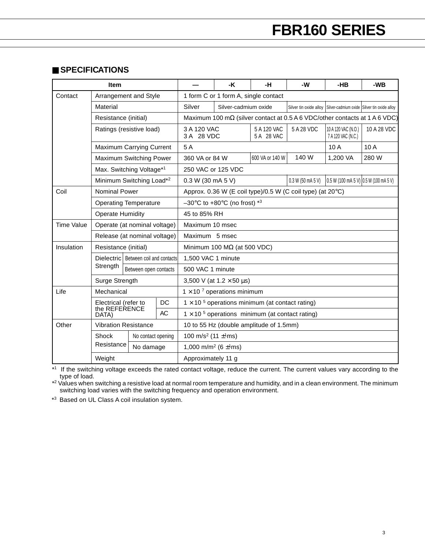#### ■ **SPECIFICATIONS**

| <b>Item</b>       |                                                            |                       |  | -K                                                        | -н                                   | -W                        | $-HB$                                                                              | -WB                                                                    |             |  |  |
|-------------------|------------------------------------------------------------|-----------------------|--|-----------------------------------------------------------|--------------------------------------|---------------------------|------------------------------------------------------------------------------------|------------------------------------------------------------------------|-------------|--|--|
| Contact           | Arrangement and Style                                      |                       |  |                                                           | 1 form C or 1 form A, single contact |                           |                                                                                    |                                                                        |             |  |  |
|                   | Material                                                   |                       |  | Silver                                                    | Silver-cadmium oxide                 |                           |                                                                                    | Silver tin oxide alloy   Silver-cadmium oxide   Silver tin oxide alloy |             |  |  |
|                   | Resistance (initial)                                       |                       |  |                                                           |                                      |                           | Maximum 100 m $\Omega$ (silver contact at 0.5 A 6 VDC/other contacts at 1 A 6 VDC) |                                                                        |             |  |  |
|                   | Ratings (resistive load)                                   |                       |  | 3 A 120 VAC<br>3 A 28 VDC                                 |                                      | 5 A 120 VAC<br>5 A 28 VAC | 5 A 28 VDC                                                                         | 10 A 120 VAC (N.O.)<br>7 A 120 VAC (N.C.)                              | 10 A 28 VDC |  |  |
|                   | <b>Maximum Carrying Current</b>                            |                       |  | 5A                                                        |                                      |                           |                                                                                    | 10A                                                                    | 10A         |  |  |
|                   | Maximum Switching Power                                    |                       |  | 360 VA or 84 W                                            |                                      | 600 VA or 140 W           | 140 W                                                                              | 1,200 VA                                                               | 280 W       |  |  |
|                   | Max. Switching Voltage*1                                   |                       |  | 250 VAC or 125 VDC                                        |                                      |                           |                                                                                    |                                                                        |             |  |  |
|                   | Minimum Switching Load* <sup>2</sup>                       |                       |  | 0.3 W (30 mA 5 V)                                         |                                      |                           | 0.3 W (50 mA 5 V)                                                                  | 0.5 W (100 mA 5 V) 0.5 W (100 mA 5 V)                                  |             |  |  |
| Coil              | Nominal Power                                              |                       |  |                                                           |                                      |                           | Approx. 0.36 W (E coil type)/0.5 W (C coil type) (at 20°C)                         |                                                                        |             |  |  |
|                   | <b>Operating Temperature</b>                               |                       |  | $-30^{\circ}$ C to +80 $^{\circ}$ C (no frost) *3         |                                      |                           |                                                                                    |                                                                        |             |  |  |
|                   | <b>Operate Humidity</b>                                    |                       |  | 45 to 85% RH                                              |                                      |                           |                                                                                    |                                                                        |             |  |  |
| <b>Time Value</b> | Operate (at nominal voltage)                               |                       |  | Maximum 10 msec                                           |                                      |                           |                                                                                    |                                                                        |             |  |  |
|                   | Release (at nominal voltage)                               |                       |  | Maximum 5 msec                                            |                                      |                           |                                                                                    |                                                                        |             |  |  |
| Insulation        | Resistance (initial)                                       |                       |  | Minimum 100 $M\Omega$ (at 500 VDC)                        |                                      |                           |                                                                                    |                                                                        |             |  |  |
|                   | Dielectric   Between coil and contacts                     |                       |  | 1,500 VAC 1 minute                                        |                                      |                           |                                                                                    |                                                                        |             |  |  |
|                   | Strength                                                   | Between open contacts |  | 500 VAC 1 minute                                          |                                      |                           |                                                                                    |                                                                        |             |  |  |
|                   | Surge Strength                                             |                       |  | 3,500 V (at $1.2 \times 50 \,\mu s$ )                     |                                      |                           |                                                                                    |                                                                        |             |  |  |
| Life              | Mechanical                                                 |                       |  | $1 \times 10^{-7}$ operations minimum                     |                                      |                           |                                                                                    |                                                                        |             |  |  |
|                   | DC<br>Electrical (refer to<br>the REFERENCE<br>AC<br>DATA) |                       |  | $1 \times 10^{-5}$ operations minimum (at contact rating) |                                      |                           |                                                                                    |                                                                        |             |  |  |
|                   |                                                            |                       |  | $1 \times 10^{-5}$ operations minimum (at contact rating) |                                      |                           |                                                                                    |                                                                        |             |  |  |
| Other             | <b>Vibration Resistance</b>                                |                       |  | 10 to 55 Hz (double amplitude of 1.5mm)                   |                                      |                           |                                                                                    |                                                                        |             |  |  |
|                   | Shock                                                      | No contact opening    |  | 100 m/s <sup>2</sup> (11 $\pm$ <sup>1</sup> ms)           |                                      |                           |                                                                                    |                                                                        |             |  |  |
|                   | Resistance                                                 | No damage             |  | 1,000 m/m <sup>2</sup> (6 $\pm$ <sup>1</sup> ms)          |                                      |                           |                                                                                    |                                                                        |             |  |  |
|                   | Weight                                                     |                       |  | Approximately 11 g                                        |                                      |                           |                                                                                    |                                                                        |             |  |  |

\*1 If the switching voltage exceeds the rated contact voltage, reduce the current. The current values vary according to the type of load.

 $*$ 2 Values when switching a resistive load at normal room temperature and humidity, and in a clean environment. The minimum switching load varies with the switching frequency and operation environment.

\*3 Based on UL Class A coil insulation system.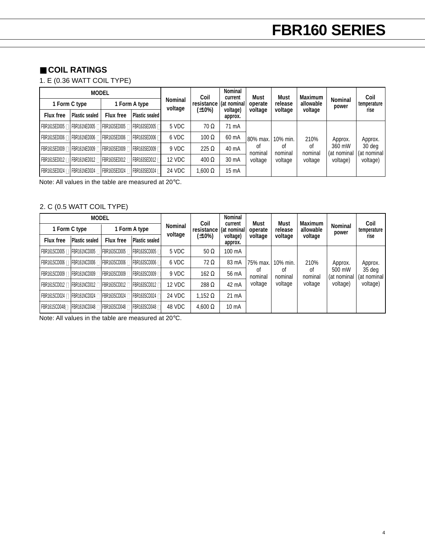# ■ **COIL RATINGS**

1. E (0.36 WATT COIL TYPE)

|                       | <b>MODEL</b>                                                        |                  |                |                           | Coil            | <b>Nominal</b><br>current | Must          | <b>Must</b>   | <b>Maximum</b> |                         | Coil                    |
|-----------------------|---------------------------------------------------------------------|------------------|----------------|---------------------------|-----------------|---------------------------|---------------|---------------|----------------|-------------------------|-------------------------|
|                       | 1 Form C type                                                       |                  | 1 Form A type  | <b>Nominal</b><br>voltage | resistance      | (at nominal)              | operate       | release       | allowable      | <b>Nominal</b><br>power | temperature             |
| <b>Flux free</b>      | <b>Plastic sealed</b>                                               | <b>Flux free</b> | Plastic sealed |                           | (±10%)          | voltage)<br>approx.       | voltage       | voltage       | voltage        |                         | rise                    |
| FBR161SED005          | FBR161NED005 □   FBR163SED005 □   FBR163SED005 □                    |                  |                | 5 VDC                     | $70 \Omega$     | 71 mA                     |               |               |                |                         |                         |
|                       |                                                                     |                  |                | 6 VDC                     | $100 \Omega$    | 60 mA                     | 80% max.      | 10% min.      | 210%           | Approx.                 | Approx.                 |
| $FBR161SED009$ $\Box$ | FBR161NED009 □ FBR163SED009 □ FBR163SED009 □                        |                  |                | 9 VDC                     | 225 $\Omega$    | 40 mA                     | 0f<br>nominal | οf<br>nominal | 0f<br>nominal  | 360 mW<br>(at nominal   | $30$ deg<br>(at nominal |
|                       | I FBR161SED012 □   FBR161NED012 □   FBR163SED012 □   FBR163SED012 □ |                  |                | 12 VDC                    | $400 \Omega$    | 30 mA                     | voltage       | voltage       | voltage        | voltage)                | voltage)                |
| FBR161SED024 L        | FBR161NED024                                                        | FBR163SED024 ∏   | FBR163SED024 F | 24 VDC                    | $1,600\ \Omega$ | 15 mA                     |               |               |                |                         |                         |

Note: All values in the table are measured at 20°C.

### 2. C (0.5 WATT COIL TYPE)

|                                                                   | <b>MODEL</b>                                                      |                  |                       |                           | Coil              | Nominal<br>current  | Must          | Must          | <b>Maximum</b> |                         | Coil                  |
|-------------------------------------------------------------------|-------------------------------------------------------------------|------------------|-----------------------|---------------------------|-------------------|---------------------|---------------|---------------|----------------|-------------------------|-----------------------|
|                                                                   | 1 Form C type                                                     |                  | 1 Form A type         | <b>Nominal</b><br>voltage | resistance        | (at nominal)        | operate       | release       | allowable      | <b>Nominal</b><br>power | temperature           |
| <b>Flux free</b>                                                  | <b>Plastic sealed</b>                                             | <b>Flux free</b> | <b>Plastic sealed</b> |                           | $(\pm 10\%)$      | voltage)<br>approx. | voltage       | voltage       | voltage        |                         | rise                  |
|                                                                   | FBR161SCD005 □ FBR161NCD005 □ FBR163SCD005 □ FBR163SCD005 □       |                  |                       | 5 VDC                     | $50 \Omega$       | 100 mA              |               |               |                |                         |                       |
|                                                                   | FBR161SCD006 □ FBR161NCD006 □ FBR163SCD006 □ FBR163SCD006 □       |                  |                       | 6 VDC                     | $72 \Omega$       | 83 mA               | 75% max.      | 10% min.      | 210%           | Approx.                 | Approx.               |
|                                                                   | IFBR161SCD009 □ FBR161NCD009 □ FBR163SCD009 □ FBR163SCD009 □      |                  |                       | 9 VDC                     | 162 $\Omega$      | 56 mA               | οf<br>nominal | οf<br>nominal | οt<br>nominal  | 500 mW<br>(at nominal   | 35 deg<br>(at nominal |
| FBR161SCD012 □   FBR161NCD012 □   FBR163SCD012 □   FBR163SCD012 □ |                                                                   |                  |                       | 12 VDC                    | 288 $\Omega$      | 42 mA               | voltage       | voltage       | voltage        | voltage)                | voltage)              |
|                                                                   | FBR161SCD024 □   FBR161NCD024 □   FBR163SCD024 □   FBR163SCD024 □ |                  |                       | 24 VDC                    | 1.152 $\, \Omega$ | 21 mA               |               |               |                |                         |                       |
| FBR161SCD048F                                                     | <b>FBR161NCD048 □ FBR163SCD048 □ FBR163SCD048 □</b>               |                  |                       | 48 VDC                    | $4,600 \Omega$    | 10 mA               |               |               |                |                         |                       |

Note: All values in the table are measured at 20°C.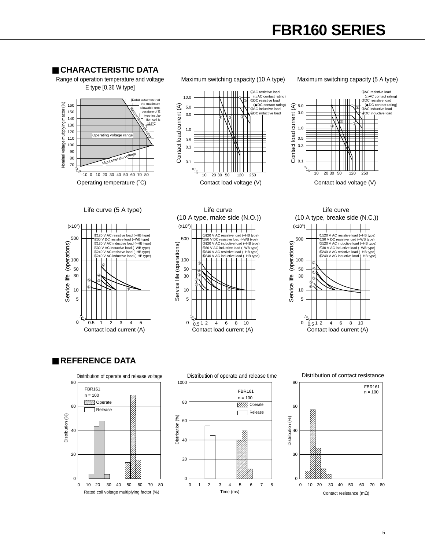# **FBR160 SERIES**